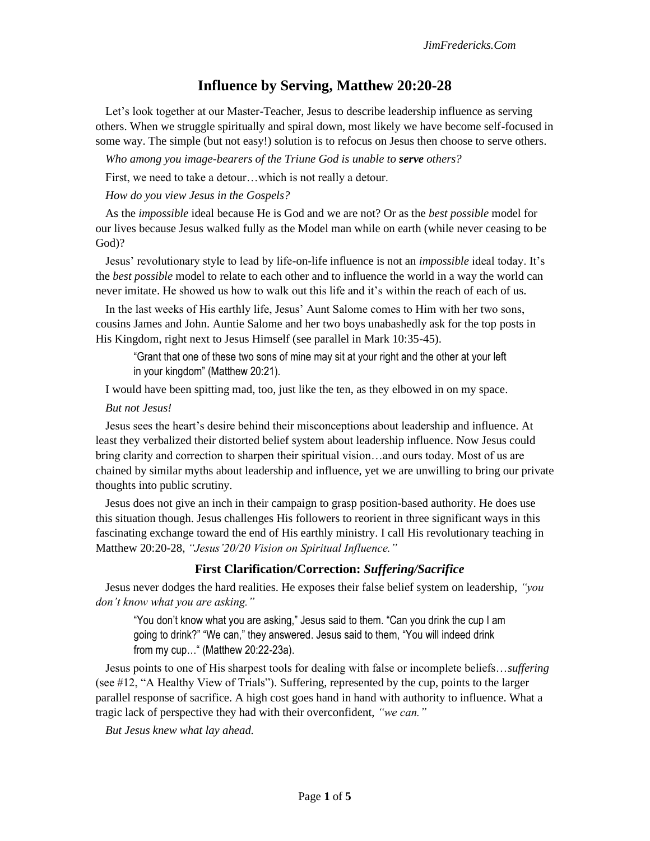# **Influence by Serving, Matthew 20:20-28**

Let's look together at our Master-Teacher, Jesus to describe leadership influence as serving others. When we struggle spiritually and spiral down, most likely we have become self-focused in some way. The simple (but not easy!) solution is to refocus on Jesus then choose to serve others.

*Who among you image-bearers of the Triune God is unable to serve others?*

First, we need to take a detour…which is not really a detour.

*How do you view Jesus in the Gospels?* 

As the *impossible* ideal because He is God and we are not? Or as the *best possible* model for our lives because Jesus walked fully as the Model man while on earth (while never ceasing to be God)?

Jesus' revolutionary style to lead by life-on-life influence is not an *impossible* ideal today. It's the *best possible* model to relate to each other and to influence the world in a way the world can never imitate. He showed us how to walk out this life and it's within the reach of each of us.

In the last weeks of His earthly life, Jesus' Aunt Salome comes to Him with her two sons, cousins James and John. Auntie Salome and her two boys unabashedly ask for the top posts in His Kingdom, right next to Jesus Himself (see parallel in Mark 10:35-45).

"Grant that one of these two sons of mine may sit at your right and the other at your left in your kingdom" (Matthew 20:21).

I would have been spitting mad, too, just like the ten, as they elbowed in on my space.

#### *But not Jesus!*

Jesus sees the heart's desire behind their misconceptions about leadership and influence. At least they verbalized their distorted belief system about leadership influence. Now Jesus could bring clarity and correction to sharpen their spiritual vision…and ours today. Most of us are chained by similar myths about leadership and influence, yet we are unwilling to bring our private thoughts into public scrutiny.

Jesus does not give an inch in their campaign to grasp position-based authority. He does use this situation though. Jesus challenges His followers to reorient in three significant ways in this fascinating exchange toward the end of His earthly ministry. I call His revolutionary teaching in Matthew 20:20-28, *"Jesus'20/20 Vision on Spiritual Influence."*

#### **First Clarification/Correction:** *Suffering/Sacrifice*

Jesus never dodges the hard realities. He exposes their false belief system on leadership, *"you don't know what you are asking."* 

"You don't know what you are asking," Jesus said to them. "Can you drink the cup I am going to drink?" "We can," they answered. Jesus said to them, "You will indeed drink from my cup…" (Matthew 20:22-23a).

Jesus points to one of His sharpest tools for dealing with false or incomplete beliefs…*suffering* (see #12, "A Healthy View of Trials"). Suffering, represented by the cup, points to the larger parallel response of sacrifice. A high cost goes hand in hand with authority to influence. What a tragic lack of perspective they had with their overconfident, *"we can."* 

*But Jesus knew what lay ahead.*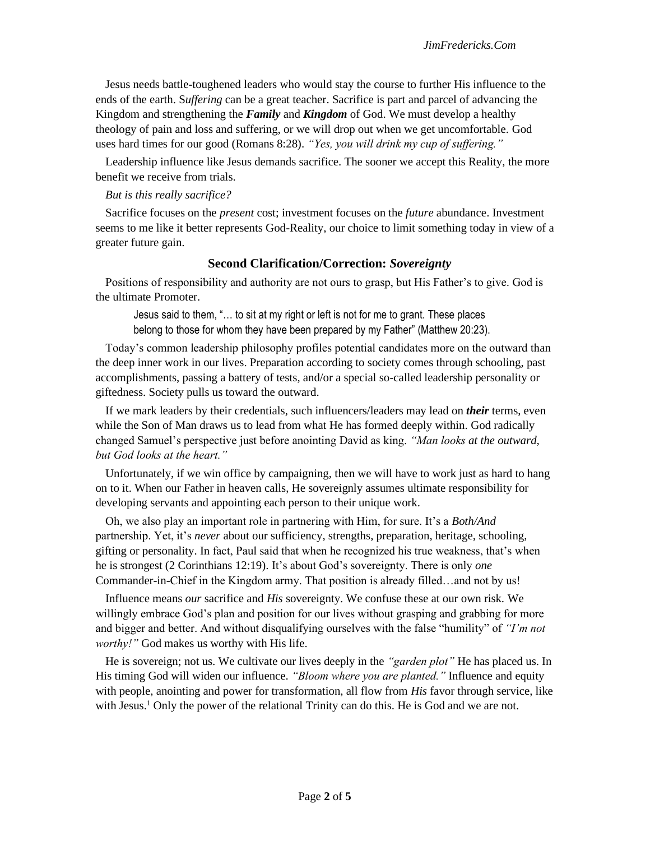Jesus needs battle-toughened leaders who would stay the course to further His influence to the ends of the earth. S*uffering* can be a great teacher. Sacrifice is part and parcel of advancing the Kingdom and strengthening the *Family* and *Kingdom* of God. We must develop a healthy theology of pain and loss and suffering, or we will drop out when we get uncomfortable. God uses hard times for our good (Romans 8:28). *"Yes, you will drink my cup of suffering."* 

Leadership influence like Jesus demands sacrifice. The sooner we accept this Reality, the more benefit we receive from trials.

### *But is this really sacrifice?*

Sacrifice focuses on the *present* cost; investment focuses on the *future* abundance. Investment seems to me like it better represents God-Reality, our choice to limit something today in view of a greater future gain.

## **Second Clarification/Correction:** *Sovereignty*

Positions of responsibility and authority are not ours to grasp, but His Father's to give. God is the ultimate Promoter.

Jesus said to them, "… to sit at my right or left is not for me to grant. These places belong to those for whom they have been prepared by my Father" (Matthew 20:23).

Today's common leadership philosophy profiles potential candidates more on the outward than the deep inner work in our lives. Preparation according to society comes through schooling, past accomplishments, passing a battery of tests, and/or a special so-called leadership personality or giftedness. Society pulls us toward the outward.

If we mark leaders by their credentials, such influencers/leaders may lead on *their* terms, even while the Son of Man draws us to lead from what He has formed deeply within. God radically changed Samuel's perspective just before anointing David as king. *"Man looks at the outward, but God looks at the heart."* 

Unfortunately, if we win office by campaigning, then we will have to work just as hard to hang on to it. When our Father in heaven calls, He sovereignly assumes ultimate responsibility for developing servants and appointing each person to their unique work.

Oh, we also play an important role in partnering with Him, for sure. It's a *Both/And*  partnership. Yet, it's *never* about our sufficiency, strengths, preparation, heritage, schooling, gifting or personality. In fact, Paul said that when he recognized his true weakness, that's when he is strongest (2 Corinthians 12:19). It's about God's sovereignty. There is only *one* Commander-in-Chief in the Kingdom army. That position is already filled…and not by us!

Influence means *our* sacrifice and *His* sovereignty. We confuse these at our own risk*.* We willingly embrace God's plan and position for our lives without grasping and grabbing for more and bigger and better. And without disqualifying ourselves with the false "humility" of *"I'm not worthy!"* God makes us worthy with His life.

He is sovereign; not us. We cultivate our lives deeply in the *"garden plot"* He has placed us. In His timing God will widen our influence. *"Bloom where you are planted."* Influence and equity with people, anointing and power for transformation, all flow from *His* favor through service, like with Jesus.<sup>1</sup> Only the power of the relational Trinity can do this. He is God and we are not.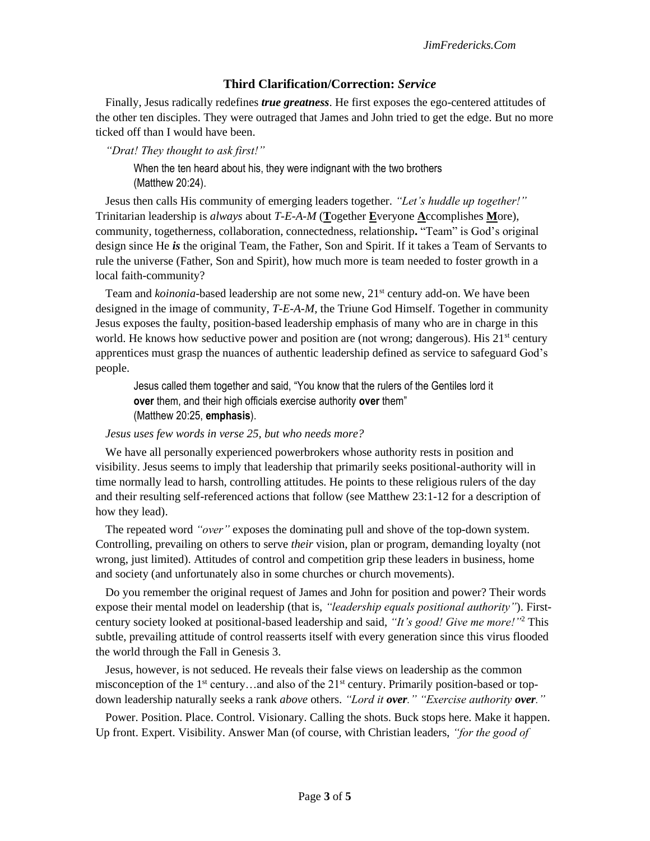# **Third Clarification/Correction:** *Service*

Finally, Jesus radically redefines *true greatness*. He first exposes the ego-centered attitudes of the other ten disciples. They were outraged that James and John tried to get the edge. But no more ticked off than I would have been.

*"Drat! They thought to ask first!"*

When the ten heard about his, they were indignant with the two brothers (Matthew 20:24).

Jesus then calls His community of emerging leaders together. *"Let's huddle up together!"*  Trinitarian leadership is *always* about *T-E-A-M* (**T**ogether **E**veryone **A**ccomplishes **M**ore), community, togetherness, collaboration, connectedness, relationship**.** "Team" is God's original design since He *is* the original Team, the Father, Son and Spirit. If it takes a Team of Servants to rule the universe (Father, Son and Spirit), how much more is team needed to foster growth in a local faith-community?

Team and *koinonia*-based leadership are not some new, 21<sup>st</sup> century add-on. We have been designed in the image of community, *T-E-A-M,* the Triune God Himself. Together in community Jesus exposes the faulty, position-based leadership emphasis of many who are in charge in this world. He knows how seductive power and position are (not wrong; dangerous). His  $21<sup>st</sup>$  century apprentices must grasp the nuances of authentic leadership defined as service to safeguard God's people.

Jesus called them together and said, "You know that the rulers of the Gentiles lord it **over** them, and their high officials exercise authority **over** them" (Matthew 20:25, **emphasis**).

### *Jesus uses few words in verse 25, but who needs more?*

We have all personally experienced powerbrokers whose authority rests in position and visibility. Jesus seems to imply that leadership that primarily seeks positional-authority will in time normally lead to harsh, controlling attitudes. He points to these religious rulers of the day and their resulting self-referenced actions that follow (see Matthew 23:1-12 for a description of how they lead).

The repeated word *"over"* exposes the dominating pull and shove of the top-down system. Controlling, prevailing on others to serve *their* vision, plan or program, demanding loyalty (not wrong, just limited). Attitudes of control and competition grip these leaders in business, home and society (and unfortunately also in some churches or church movements).

Do you remember the original request of James and John for position and power? Their words expose their mental model on leadership (that is, *"leadership equals positional authority"*). Firstcentury society looked at positional-based leadership and said, *"It's good! Give me more!"*<sup>2</sup> This subtle, prevailing attitude of control reasserts itself with every generation since this virus flooded the world through the Fall in Genesis 3.

Jesus, however, is not seduced. He reveals their false views on leadership as the common misconception of the  $1<sup>st</sup>$  century…and also of the  $21<sup>st</sup>$  century. Primarily position-based or topdown leadership naturally seeks a rank *above* others. *"Lord it over." "Exercise authority over."*

Power. Position. Place. Control. Visionary. Calling the shots. Buck stops here. Make it happen. Up front. Expert. Visibility. Answer Man (of course, with Christian leaders, *"for the good of*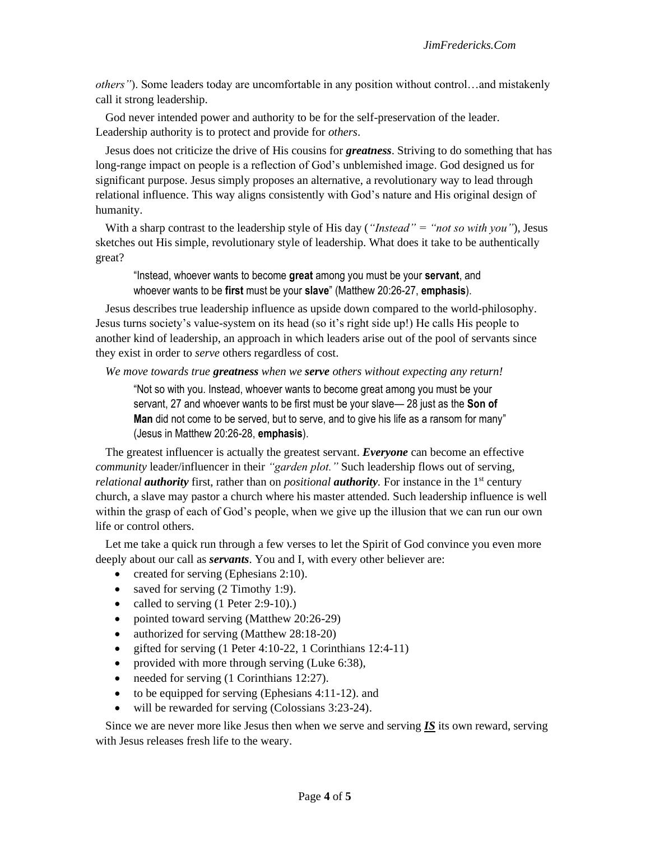*others"*). Some leaders today are uncomfortable in any position without control…and mistakenly call it strong leadership.

God never intended power and authority to be for the self-preservation of the leader. Leadership authority is to protect and provide for *others*.

Jesus does not criticize the drive of His cousins for *greatness*. Striving to do something that has long-range impact on people is a reflection of God's unblemished image. God designed us for significant purpose. Jesus simply proposes an alternative, a revolutionary way to lead through relational influence. This way aligns consistently with God's nature and His original design of humanity.

With a sharp contrast to the leadership style of His day (*"Instead" = "not so with you"*), Jesus sketches out His simple, revolutionary style of leadership. What does it take to be authentically great?

"Instead, whoever wants to become **great** among you must be your **servant**, and whoever wants to be **first** must be your **slave**" (Matthew 20:26-27, **emphasis**).

Jesus describes true leadership influence as upside down compared to the world-philosophy. Jesus turns society's value-system on its head (so it's right side up!) He calls His people to another kind of leadership, an approach in which leaders arise out of the pool of servants since they exist in order to *serve* others regardless of cost.

*We move towards true greatness when we serve others without expecting any return!*

"Not so with you. Instead, whoever wants to become great among you must be your servant, 27 and whoever wants to be first must be your slave— 28 just as the **Son of Man** did not come to be served, but to serve, and to give his life as a ransom for many" (Jesus in Matthew 20:26-28, **emphasis**).

The greatest influencer is actually the greatest servant. *Everyone* can become an effective *community* leader/influencer in their *"garden plot."* Such leadership flows out of serving, *relational authority* first, rather than on *positional authority*. For instance in the 1<sup>st</sup> century church, a slave may pastor a church where his master attended. Such leadership influence is well within the grasp of each of God's people, when we give up the illusion that we can run our own life or control others.

Let me take a quick run through a few verses to let the Spirit of God convince you even more deeply about our call as *servants*. You and I, with every other believer are:

- created for serving (Ephesians 2:10).
- saved for serving  $(2 \text{ Timothy } 1:9)$ .
- called to serving (1 Peter 2:9-10).)
- pointed toward serving (Matthew 20:26-29)
- authorized for serving (Matthew 28:18-20)
- gifted for serving (1 Peter 4:10-22, 1 Corinthians 12:4-11)
- provided with more through serving (Luke 6:38),
- needed for serving (1 Corinthians 12:27).
- to be equipped for serving (Ephesians 4:11-12). and
- will be rewarded for serving (Colossians 3:23-24).

Since we are never more like Jesus then when we serve and serving *IS* its own reward, serving with Jesus releases fresh life to the weary.